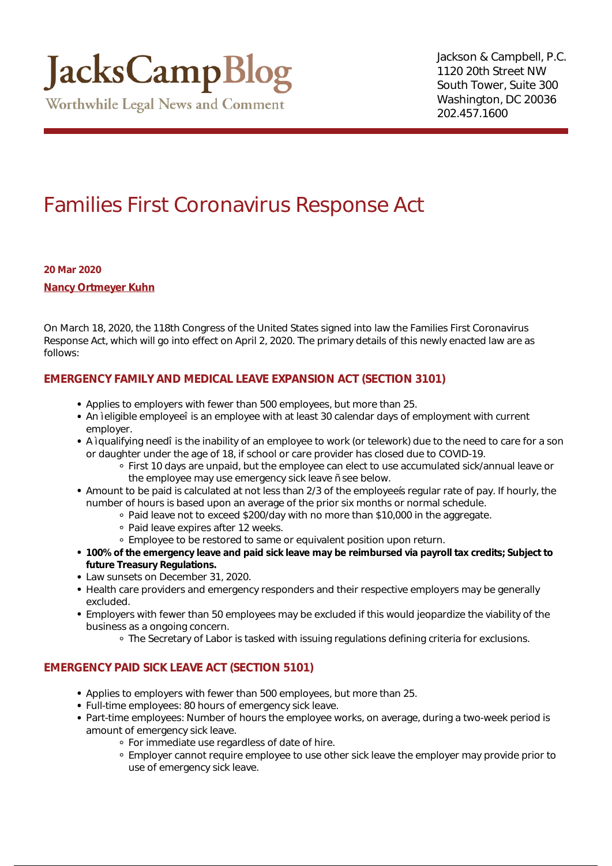## Families First Coronavirus Response Act

**20 Mar 2020**

**[Nancy Ortmeyer Kuhn](https://www.jackscamp.com/attorneys/nancy-ortmeyer-kuhn/)**

On March 18, 2020, the 118th Congress of the United States signed into law the Families First Coronavirus Response Act, which will go into effect on April 2, 2020. The primary details of this newly enacted law are as follows:

## **EMERGENCY FAMILY AND MEDICAL LEAVE EXPANSION ACT (SECTION 3101)**

- Applies to employers with fewer than 500 employees, but more than 25.
- An eligible employee is an employee with at least 30 calendar days of employment with current employer.
- A qualifying need is the inability of an employee to work (or telework) due to the need to care for a son or daughter under the age of 18, if school or care provider has closed due to COVID-19.
	- First 10 days are unpaid, but the employee can elect to use accumulated sick/annual leave or the employee may use emergency sick leave see below.
- Amount to be paid is calculated at not less than 2/3 of the employees regular rate of pay. If hourly, the number of hours is based upon an average of the prior six months or normal schedule.
	- Paid leave not to exceed \$200/day with no more than \$10,000 in the aggregate.
	- Paid leave expires after 12 weeks.
	- Employee to be restored to same or equivalent position upon return.
- **100% of the emergency leave and paid sick leave may be reimbursed via payroll tax credits; Subject to future Treasury Regulations.**
- Law sunsets on December 31, 2020.
- Health care providers and emergency responders and their respective employers may be generally excluded.
- Employers with fewer than 50 employees may be excluded if this would jeopardize the viability of the business as a ongoing concern.
	- The Secretary of Labor is tasked with issuing regulations defining criteria for exclusions.

## **EMERGENCY PAID SICK LEAVE ACT (SECTION 5101)**

- Applies to employers with fewer than 500 employees, but more than 25.
- Full-time employees: 80 hours of emergency sick leave.
- Part-time employees: Number of hours the employee works, on average, during a two-week period is amount of emergency sick leave.
	- For immediate use regardless of date of hire.
	- Employer cannot require employee to use other sick leave the employer may provide prior to use of emergency sick leave.